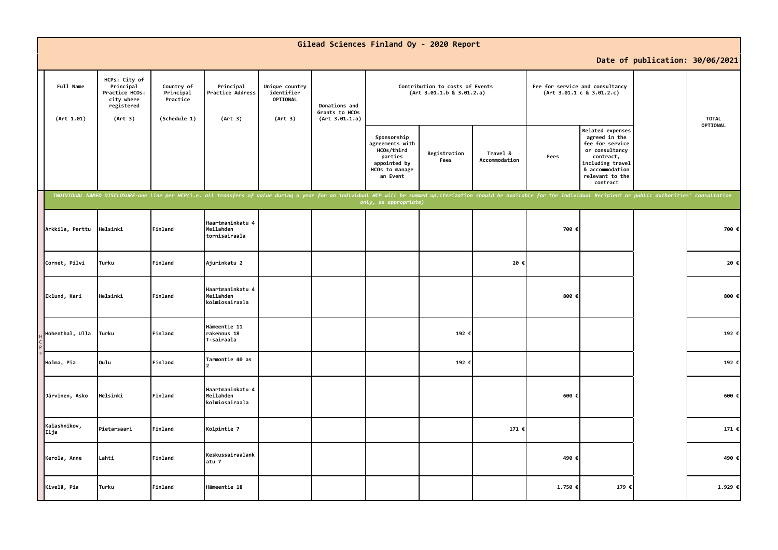|                         |                                                                                     |                                                     |                                                                                                                                                                                                                                |                                                     |                                                   | Gilead Sciences Finland Oy - 2020 Report                                                              |                      |                                                              |         |                                                                                                                                                                  |                                 |          |
|-------------------------|-------------------------------------------------------------------------------------|-----------------------------------------------------|--------------------------------------------------------------------------------------------------------------------------------------------------------------------------------------------------------------------------------|-----------------------------------------------------|---------------------------------------------------|-------------------------------------------------------------------------------------------------------|----------------------|--------------------------------------------------------------|---------|------------------------------------------------------------------------------------------------------------------------------------------------------------------|---------------------------------|----------|
|                         |                                                                                     |                                                     |                                                                                                                                                                                                                                |                                                     |                                                   |                                                                                                       |                      |                                                              |         |                                                                                                                                                                  | Date of publication: 30/06/2021 |          |
| Full Name<br>(Art 1.01) | HCPs: City of<br>Principal<br>Practice HCOs:<br>city where<br>registered<br>(Art 3) | Country of<br>Principal<br>Practice<br>(Schedule 1) | Principal<br>Practice Address<br>(Art 3)                                                                                                                                                                                       | Unique country<br>identifier<br>OPTIONAL<br>(Art 3) | Donations and<br>Grants to HCOs<br>(Art 3.01.1.a) | Contribution to costs of Events<br>(Art 3.01.1.b 8 3.01.2.a)                                          |                      | Fee for service and consultancy<br>(Art 3.01.1 c 8 3.01.2.c) |         |                                                                                                                                                                  | <b>TOTAL</b>                    |          |
|                         |                                                                                     |                                                     |                                                                                                                                                                                                                                |                                                     |                                                   | Sponsorship<br>agreements with<br>HCOs/third<br>parties<br>appointed by<br>HCOs to manage<br>an Event | Registration<br>Fees | Travel &<br>Accommodation                                    | Fees    | <b>Related expenses</b><br>agreed in the<br>fee for service<br>or consultancy<br>contract,<br>including travel<br>& accommodation<br>relevant to the<br>contract |                                 | OPTIONAL |
|                         |                                                                                     |                                                     | INDIVIDUAL NAMED DISCLOSURE-one line per HCP(i.e. all transfers of value during a year for an individual HCP will be summed up:itemization should be available for the Individual Recipient or public authorities' consultatio |                                                     |                                                   | only, as appropriate)                                                                                 |                      |                                                              |         |                                                                                                                                                                  |                                 |          |
| Arkkila, Perttu         | Helsinki                                                                            | Finland                                             | Haartmaninkatu 4<br>Meilahden<br>tornisairaala                                                                                                                                                                                 |                                                     |                                                   |                                                                                                       |                      |                                                              | 700     |                                                                                                                                                                  |                                 | 700 €    |
| Cornet, Pilvi           | <b>Turku</b>                                                                        | Finland                                             | Ajurinkatu 2                                                                                                                                                                                                                   |                                                     |                                                   |                                                                                                       |                      | 20€                                                          |         |                                                                                                                                                                  |                                 | 20€      |
| Eklund, Kari            | Helsinki                                                                            | Finland                                             | Haartmaninkatu 4<br>Meilahden<br>kolmiosairaala                                                                                                                                                                                |                                                     |                                                   |                                                                                                       |                      |                                                              | 800     |                                                                                                                                                                  |                                 | 800 €    |
| Hohenthal, Ulla         | Turku                                                                               | Finland                                             | Hämeentie 11<br>rakennus 18<br>T-sairaala                                                                                                                                                                                      |                                                     |                                                   |                                                                                                       | 192 €                |                                                              |         |                                                                                                                                                                  |                                 | 192 €    |
| Holma, Pia              | Oulu                                                                                | Finland                                             | Tarmontie 40 as                                                                                                                                                                                                                |                                                     |                                                   |                                                                                                       | 192 €                |                                                              |         |                                                                                                                                                                  |                                 | 192 €    |
| Järvinen, Asko          | Helsinki                                                                            | Finland                                             | Haartmaninkatu 4<br>Meilahden<br>kolmiosairaala                                                                                                                                                                                |                                                     |                                                   |                                                                                                       |                      |                                                              | 600     |                                                                                                                                                                  |                                 | 600 €    |
| Kalashnikov,<br>Ilja    | Pietarsaari                                                                         | Finland                                             | Kolpintie 7                                                                                                                                                                                                                    |                                                     |                                                   |                                                                                                       |                      | 171 €                                                        |         |                                                                                                                                                                  |                                 | 171 €    |
| Kerola, Anne            | Lahti                                                                               | Finland                                             | Keskussairaalank<br>atu 7                                                                                                                                                                                                      |                                                     |                                                   |                                                                                                       |                      |                                                              | 490 €   |                                                                                                                                                                  |                                 | 490 €    |
| Kivelä, Pia             | Turku                                                                               | Finland                                             | Hämeentie 18                                                                                                                                                                                                                   |                                                     |                                                   |                                                                                                       |                      |                                                              | 1.750 € | 179 €                                                                                                                                                            |                                 | 1.929 €  |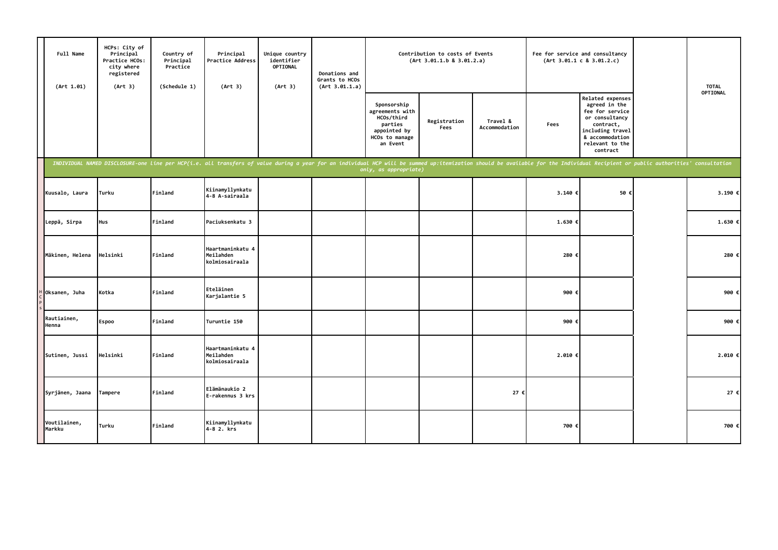| Full Name<br>(Art 1.01) | HCPs: City of<br>Principal<br>Practice HCOs:<br>city where<br>registered<br>(Art 3) | Country of<br>Principal<br>Practice<br>(Schedule 1) | Principal<br>Practice Address<br>(Art 3)                                                                                                                                                                                       | Unique country<br>identifier<br><b>OPTIONAL</b><br>(Art 3) | Donations and<br>Grants to HCOs<br>(Art 3.01.1.a) |                                                                                                       | Contribution to costs of Events<br>(Art 3.01.1.b 8 3.01.2.a) |                           |         | Fee for service and consultancy<br>(Art 3.01.1 c 8 3.01.2.c)                                                                                              | <b>TOTAL</b> |
|-------------------------|-------------------------------------------------------------------------------------|-----------------------------------------------------|--------------------------------------------------------------------------------------------------------------------------------------------------------------------------------------------------------------------------------|------------------------------------------------------------|---------------------------------------------------|-------------------------------------------------------------------------------------------------------|--------------------------------------------------------------|---------------------------|---------|-----------------------------------------------------------------------------------------------------------------------------------------------------------|--------------|
|                         |                                                                                     |                                                     |                                                                                                                                                                                                                                |                                                            |                                                   | Sponsorship<br>agreements with<br>HCOs/third<br>parties<br>appointed by<br>HCOs to manage<br>an Event | Registration<br>Fees                                         | Travel &<br>Accommodation | Fees    | Related expenses<br>agreed in the<br>fee for service<br>or consultancy<br>contract,<br>including travel<br>& accommodation<br>relevant to the<br>contract | OPTIONAL     |
|                         |                                                                                     |                                                     | INDIVIDUAL NAMED DISCLOSURE-one line per HCP(i.e. all transfers of value during a year for an individual HCP will be summed up:itemization should be available for the Individual Recipient or public authorities' consultatio |                                                            |                                                   | only, as appropriate)                                                                                 |                                                              |                           |         |                                                                                                                                                           |              |
| Kuusalo, Laura          | Turku                                                                               | Finland                                             | Kiinamyllynkatu<br>4-8 A-sairaala                                                                                                                                                                                              |                                                            |                                                   |                                                                                                       |                                                              |                           | 3.140 € | 50 +                                                                                                                                                      | 3.190 €      |
| Leppä, Sirpa            | Hus                                                                                 | Finland                                             | Paciuksenkatu 3                                                                                                                                                                                                                |                                                            |                                                   |                                                                                                       |                                                              |                           | 1.630 € |                                                                                                                                                           | 1.630 €      |
| Mäkinen, Helena         | Helsinki                                                                            | Finland                                             | Haartmaninkatu 4<br>Meilahden<br>kolmiosairaala                                                                                                                                                                                |                                                            |                                                   |                                                                                                       |                                                              |                           | 280 €   |                                                                                                                                                           | 280 €        |
| Oksanen, Juha           | Kotka                                                                               | Finland                                             | Eteläinen<br>Karjalantie 5                                                                                                                                                                                                     |                                                            |                                                   |                                                                                                       |                                                              |                           | 900 €   |                                                                                                                                                           | 900 €        |
| Rautiainen,<br>Henna    | Espoo                                                                               | Finland                                             | Turuntie 150                                                                                                                                                                                                                   |                                                            |                                                   |                                                                                                       |                                                              |                           | 900 €   |                                                                                                                                                           | 900 €        |
| Sutinen, Jussi          | Helsinki                                                                            | Finland                                             | Haartmaninkatu 4<br>Meilahden<br>kolmiosairaala                                                                                                                                                                                |                                                            |                                                   |                                                                                                       |                                                              |                           | 2.010€  |                                                                                                                                                           | 2.010 ∈      |
| Syrjänen, Jaana         | Tampere                                                                             | Finland                                             | Elämänaukio 2<br>E-rakennus 3 krs                                                                                                                                                                                              |                                                            |                                                   |                                                                                                       |                                                              | 27 €                      |         |                                                                                                                                                           | 27 €         |
| Voutilainen,<br>Markku  | Turku                                                                               | Finland                                             | Kiinamyllynkatu<br>4-8 2. krs                                                                                                                                                                                                  |                                                            |                                                   |                                                                                                       |                                                              |                           | 700 €   |                                                                                                                                                           | 700 €        |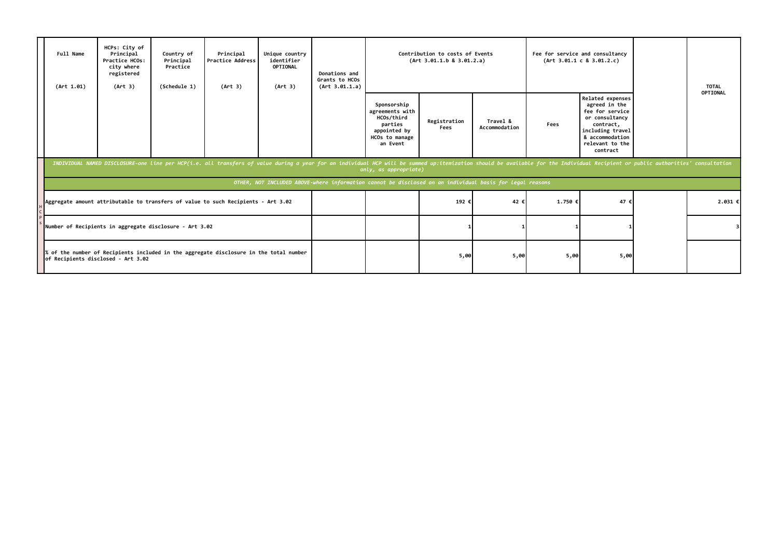|  | Full Name<br>(Art 1.01)                                                                                                                                                               | HCPs: City of<br>Principal<br>Practice HCOs:<br>city where<br>registered<br>(Art 3) | Country of<br>Principal<br>Practice<br>(Schedule 1) | Principal<br><b>Practice Address</b><br>(Art 3)                                                                                                                                                                                | Unique country<br>identifier<br>OPTIONAL<br>(Art 3) | Donations and<br>Grants to HCOs<br>(Art 3.01.1.a) | Contribution to costs of Events<br>(Art 3.01.1.b 8 3.01.2.a)                                          |                                                                                                          |                           |         | Fee for service and consultancy<br>(Art 3.01.1 c 8 3.01.2.c)                                                                                              | <b>TOTAL</b><br>OPTIONAL |
|--|---------------------------------------------------------------------------------------------------------------------------------------------------------------------------------------|-------------------------------------------------------------------------------------|-----------------------------------------------------|--------------------------------------------------------------------------------------------------------------------------------------------------------------------------------------------------------------------------------|-----------------------------------------------------|---------------------------------------------------|-------------------------------------------------------------------------------------------------------|----------------------------------------------------------------------------------------------------------|---------------------------|---------|-----------------------------------------------------------------------------------------------------------------------------------------------------------|--------------------------|
|  |                                                                                                                                                                                       |                                                                                     |                                                     |                                                                                                                                                                                                                                |                                                     |                                                   | Sponsorship<br>agreements with<br>HCOs/third<br>parties<br>appointed by<br>HCOs to manage<br>an Event | Registration<br>Fees                                                                                     | Travel &<br>Accommodation | Fees    | Related expenses<br>agreed in the<br>fee for service<br>or consultancy<br>contract,<br>including travel<br>& accommodation<br>relevant to the<br>contract |                          |
|  |                                                                                                                                                                                       |                                                                                     |                                                     | INDIVIDUAL NAMED DISCLOSURE-one line per HCP(i.e. all transfers of value during a year for an individual HCP will be summed up:itemization should be available for the Individual Recipient or public authorities' consultatio |                                                     |                                                   | only, as appropriate)                                                                                 |                                                                                                          |                           |         |                                                                                                                                                           |                          |
|  |                                                                                                                                                                                       |                                                                                     |                                                     |                                                                                                                                                                                                                                |                                                     |                                                   |                                                                                                       | OTHER, NOT INCLUDED ABOVE-where information cannot be disclosed on an individual basis for legal reasons |                           |         |                                                                                                                                                           |                          |
|  |                                                                                                                                                                                       |                                                                                     |                                                     | Aggregate amount attributable to transfers of value to such Recipients - Art 3.02                                                                                                                                              |                                                     |                                                   |                                                                                                       | 192 €                                                                                                    | 42 €                      | 1.750 € | 47 €                                                                                                                                                      | 2.031€                   |
|  | Number of Recipients in aggregate disclosure - Art 3.02<br>of the number of Recipients included in the aggregate disclosure in the total number<br>of Recipients disclosed - Art 3.02 |                                                                                     |                                                     |                                                                                                                                                                                                                                |                                                     |                                                   |                                                                                                       |                                                                                                          |                           |         |                                                                                                                                                           |                          |
|  |                                                                                                                                                                                       |                                                                                     |                                                     |                                                                                                                                                                                                                                |                                                     |                                                   |                                                                                                       | 5,00                                                                                                     | 5,00                      | 5,00    | 5,00                                                                                                                                                      |                          |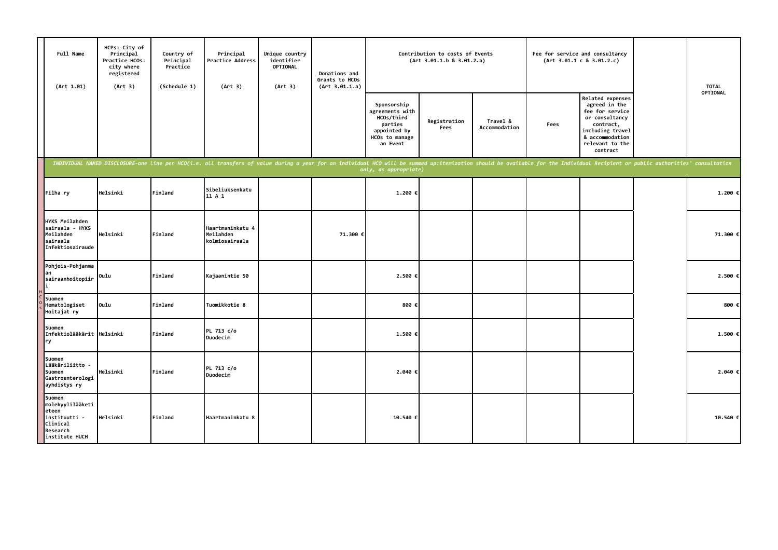| Full Name<br>(Art 1.01)                                                                        | HCPs: City of<br>Principal<br>Practice HCOs:<br>city where<br>registered<br>(Art 3) | Country of<br>Principal<br>Practice<br>(Schedule 1) | Principal<br>Practice Address<br>(Art 3)                                                                                                                                                                                       | Unique country<br>identifier<br>OPTIONAL<br>(Art 3) | Donations and<br>Grants to HCOs<br>(Art 3.01.1.a) |                                                                                                       | Contribution to costs of Events<br>(Art 3.01.1.b 8 3.01.2.a) |                           |      | Fee for service and consultancy<br>(Art 3.01.1 c 8 3.01.2.c)                                                                                              | <b>TOTAL</b> |
|------------------------------------------------------------------------------------------------|-------------------------------------------------------------------------------------|-----------------------------------------------------|--------------------------------------------------------------------------------------------------------------------------------------------------------------------------------------------------------------------------------|-----------------------------------------------------|---------------------------------------------------|-------------------------------------------------------------------------------------------------------|--------------------------------------------------------------|---------------------------|------|-----------------------------------------------------------------------------------------------------------------------------------------------------------|--------------|
|                                                                                                |                                                                                     |                                                     |                                                                                                                                                                                                                                |                                                     |                                                   | Sponsorship<br>agreements with<br>HCOs/third<br>parties<br>appointed by<br>HCOs to manage<br>an Event | Registration<br>Fees                                         | Travel &<br>Accommodation | Fees | Related expenses<br>agreed in the<br>fee for service<br>or consultancy<br>contract,<br>including travel<br>& accommodation<br>relevant to the<br>contract | OPTIONAL     |
|                                                                                                |                                                                                     |                                                     | INDIVIDUAL NAMED DISCLOSURE-one line per HCO(i.e. all transfers of value during a year for an individual HCO will be summed up:itemization should be available for the Individual Recipient or public authorities' consultatio |                                                     |                                                   | only, as appropriate)                                                                                 |                                                              |                           |      |                                                                                                                                                           |              |
| Filha ry                                                                                       | Helsinki                                                                            | Finland                                             | Sibeliuksenkatu<br>11 A 1                                                                                                                                                                                                      |                                                     |                                                   | 1.200 €                                                                                               |                                                              |                           |      |                                                                                                                                                           | 1.200 €      |
| <b>HYKS Meilahden</b><br>sairaala - HYKS<br>Meilahden<br>sairaala<br>Infektiosairaude          | Helsinki                                                                            | Finland                                             | Haartmaninkatu 4<br>Meilahden<br>kolmiosairaala                                                                                                                                                                                |                                                     | 71.300 €                                          |                                                                                                       |                                                              |                           |      |                                                                                                                                                           | 71.300 €     |
| Pohjois-Pohjanma<br>an<br>sairaanhoitopiir                                                     | Oulu                                                                                | Finland                                             | Kajaanintie 50                                                                                                                                                                                                                 |                                                     |                                                   | 2.500 €                                                                                               |                                                              |                           |      |                                                                                                                                                           | 2.500 €      |
| Suomen<br>Hematologiset<br>Hoitajat ry                                                         | Oulu                                                                                | Finland                                             | Tuomikkotie 8                                                                                                                                                                                                                  |                                                     |                                                   | 800 €                                                                                                 |                                                              |                           |      |                                                                                                                                                           | 800 €        |
| Suomen<br>Infektiolääkärit Helsinki<br>ry                                                      |                                                                                     | Finland                                             | PL 713 c/o<br>Duodecim                                                                                                                                                                                                         |                                                     |                                                   | 1.500 €                                                                                               |                                                              |                           |      |                                                                                                                                                           | 1.500 €      |
| Suomen<br>Lääkäriliitto -<br>Suomen<br>Gastroenterologi<br>ayhdistys ry                        | Helsinki                                                                            | Finland                                             | PL 713 c/o<br>Duodecim                                                                                                                                                                                                         |                                                     |                                                   | 2.040 €                                                                                               |                                                              |                           |      |                                                                                                                                                           | 2.040 €      |
| Suomen<br>molekyylilääketi<br>eteen<br>instituutti -<br>Clinical<br>Research<br>institute HUCH | Helsinki                                                                            | Finland                                             | Haartmaninkatu 8                                                                                                                                                                                                               |                                                     |                                                   | 10.540 €                                                                                              |                                                              |                           |      |                                                                                                                                                           | 10.540 €     |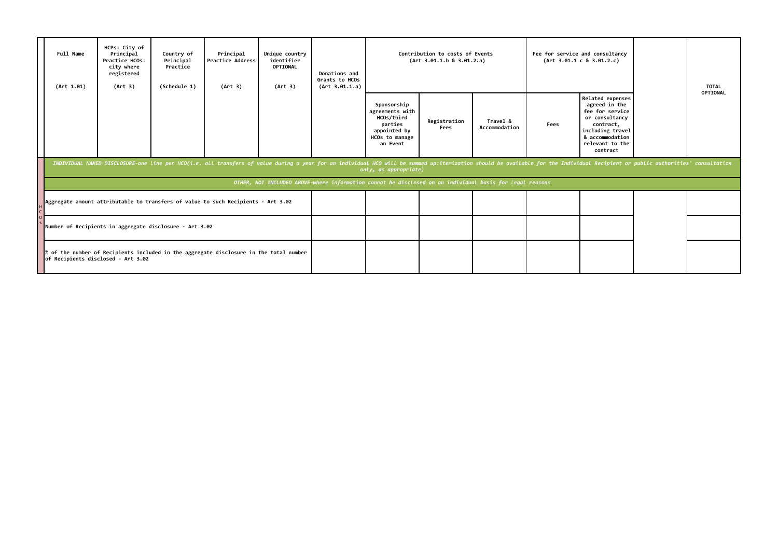|                                                                                                                              | Full Name<br>(Art 1.01)                                 | HCPs: City of<br>Principal<br>Practice HCOs:<br>city where<br>registered<br>(Art 3)                                                                                                                                                                     | Country of<br>Principal<br>Practice<br>(Schedule 1) | Principal<br><b>Practice Address</b><br>(Art 3)                                   | Unique country<br>identifier<br><b>OPTIONAL</b><br>(Art 3) | Donations and<br>Grants to HCOs<br>(Art 3.01.1.a) |                                                                                                          | Contribution to costs of Events<br>(Art 3.01.1.b 8 3.01.2.a) |                           |      | Fee for service and consultancy<br>(Art 3.01.1 c 8 3.01.2.c)                                                                                                     |  | <b>TOTAL</b><br>OPTIONAL |  |  |  |
|------------------------------------------------------------------------------------------------------------------------------|---------------------------------------------------------|---------------------------------------------------------------------------------------------------------------------------------------------------------------------------------------------------------------------------------------------------------|-----------------------------------------------------|-----------------------------------------------------------------------------------|------------------------------------------------------------|---------------------------------------------------|----------------------------------------------------------------------------------------------------------|--------------------------------------------------------------|---------------------------|------|------------------------------------------------------------------------------------------------------------------------------------------------------------------|--|--------------------------|--|--|--|
|                                                                                                                              |                                                         |                                                                                                                                                                                                                                                         |                                                     |                                                                                   |                                                            |                                                   | Sponsorship<br>agreements with<br>HCOs/third<br>parties<br>appointed by<br>HCOs to manage<br>an Event    | Registration<br>Fees                                         | Travel &<br>Accommodation | Fees | <b>Related expenses</b><br>agreed in the<br>fee for service<br>or consultancy<br>contract,<br>including travel<br>& accommodation<br>relevant to the<br>contract |  |                          |  |  |  |
|                                                                                                                              |                                                         | INDIVIDUAL NAMED DISCLOSURE-one line per HCO(i.e. all transfers of value during a year for an individual HCO will be summed up:itemization should be available for the Individual Recipient or public authorities' consultatio<br>only, as appropriate) |                                                     |                                                                                   |                                                            |                                                   |                                                                                                          |                                                              |                           |      |                                                                                                                                                                  |  |                          |  |  |  |
|                                                                                                                              |                                                         |                                                                                                                                                                                                                                                         |                                                     |                                                                                   |                                                            |                                                   | OTHER, NOT INCLUDED ABOVE-where information cannot be disclosed on an individual basis for legal reasons |                                                              |                           |      |                                                                                                                                                                  |  |                          |  |  |  |
|                                                                                                                              |                                                         |                                                                                                                                                                                                                                                         |                                                     | Aggregate amount attributable to transfers of value to such Recipients - Art 3.02 |                                                            |                                                   |                                                                                                          |                                                              |                           |      |                                                                                                                                                                  |  |                          |  |  |  |
|                                                                                                                              | Number of Recipients in aggregate disclosure - Art 3.02 |                                                                                                                                                                                                                                                         |                                                     |                                                                                   |                                                            |                                                   |                                                                                                          |                                                              |                           |      |                                                                                                                                                                  |  |                          |  |  |  |
| % of the number of Recipients included in the aggregate disclosure in the total number<br>of Recipients disclosed - Art 3.02 |                                                         |                                                                                                                                                                                                                                                         |                                                     |                                                                                   |                                                            |                                                   |                                                                                                          |                                                              |                           |      |                                                                                                                                                                  |  |                          |  |  |  |